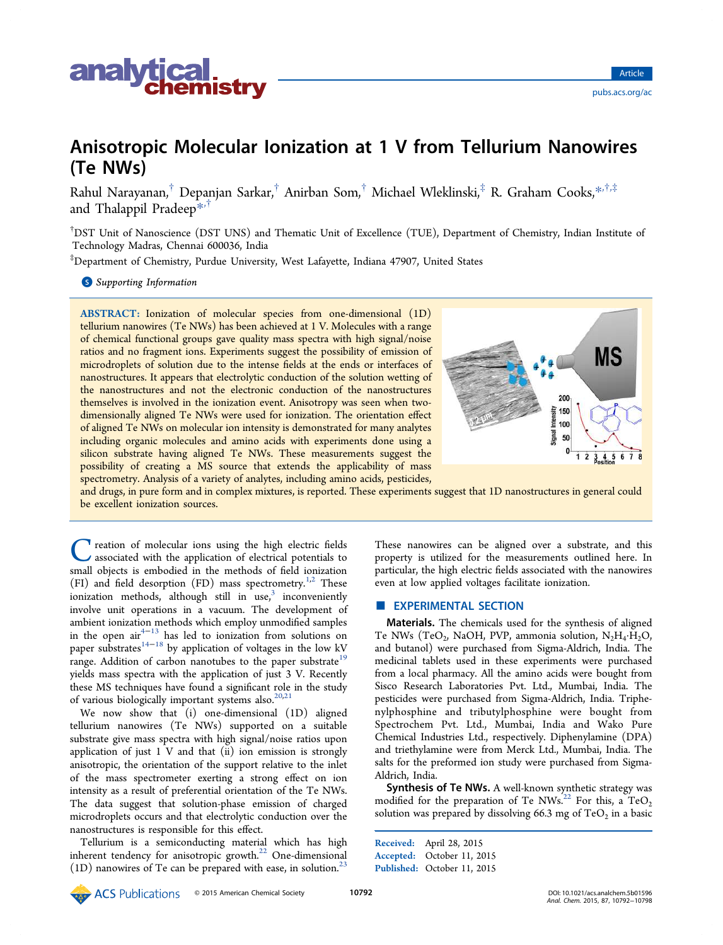

# Anisotropic Molecular Ionization at 1 V from Tellurium Nanowires (Te NWs)

Rahul Narayanan, $^\dagger$  Depanjan Sarkar, $^\dagger$  Anirban Som, $^\dagger$  Michael Wleklinski, $^\ddagger$  R. Graham Cooks, $^{*,\dagger,\ddagger}$ and Thalappil Pradeep<sup>\*\*†</sup>

†DST Unit of Nanoscience (DST UNS) and Thematic Unit of Excellence (TUE), Department of Chemistry, Indian Institute of Technology Madras, Chennai 600036, India

‡Department of Chemistry, Purdue University, West Lafayette, Indiana 47907, United States

**S** Supporting Information

ABSTRACT: Ionization of molecular species from one-dimensional (1D) tellurium nanowires (Te NWs) has been achieved at 1 V. Molecules with a range of chemical functional groups gave quality mass spectra with high signal/noise ratios and no fragment ions. Experiments suggest the possibility of emission of microdroplets of solution due to the intense fields at the ends or interfaces of nanostructures. It appears that electrolytic conduction of the solution wetting of the nanostructures and not the electronic conduction of the nanostructures themselves is involved in the ionization event. Anisotropy was seen when twodimensionally aligned Te NWs were used for ionization. The orientation effect of aligned Te NWs on molecular ion intensity is demonstrated for many analytes including organic molecules and amino acids with experiments done using a silicon substrate having aligned Te NWs. These measurements suggest the possibility of creating a MS source that extends the applicability of mass spectrometry. Analysis of a variety of analytes, including amino acids, pesticides,



and drugs, in pure form and in complex mixtures, is reported. These experiments suggest that 1D nanostructures in general could be excellent ionization sources.

C reation of molecular ions using the high electric fields<br>associated with the application of electrical potentials to<br>small objects is embodied in the methods of field ionization reation of molecular ions using the high electric fields associated with the application of electrical potentials to (FI) and field desorption (FD) mass spectrometry.<sup>1,2</sup> These ionization methods, although still in use,<sup>3</sup> inconveniently involve unit operations in a vacuum. The development of ambient ionization methods which employ unmodified samples in the open  $\arctan \frac{1}{1}$  has led to ionization from solutions on paper substrates<sup> $14-18$ </sup> by application of voltages in the low kV range. Addition of carbon nanotubes to the paper substrate<sup>19</sup> yields mass spectra with the application of just 3 V. Recently these MS techniques have found a significant role in the study of various biologically important systems also.<sup>20,21</sup>

We now show that (i) one-dimensional (1D) aligned tellurium nanowires (Te NWs) supported on a suitable substrate give mass spectra with high signal/noise ratios upon application of just 1 V and that (ii) ion emission is strongly anisotropic, the orientation of the support relative to the inlet of the mass spectrometer exerting a strong effect on ion intensity as a result of preferential orientation of the Te NWs. The data suggest that solution-phase emission of charged microdroplets occurs and that electrolytic conduction over the nanostructures is responsible for this effect.

Tellurium is a semiconducting material which has high inherent tendency for anisotropic growth.<sup>22</sup> One-dimensional  $(1D)$  nanowires of Te can be prepared with ease, in solution.<sup>23</sup>

These nanowires can be aligned over a substrate, and this property is utilized for the measurements outlined here. In particular, the high electric fields associated with the nanowires even at low applied voltages facilitate ionization.

# **EXPERIMENTAL SECTION**

Materials. The chemicals used for the synthesis of aligned Te NWs (TeO<sub>2</sub>, NaOH, PVP, ammonia solution,  $N_2H_4 \cdot H_2O$ , and butanol) were purchased from Sigma-Aldrich, India. The medicinal tablets used in these experiments were purchased from a local pharmacy. All the amino acids were bought from Sisco Research Laboratories Pvt. Ltd., Mumbai, India. The pesticides were purchased from Sigma-Aldrich, India. Triphenylphosphine and tributylphosphine were bought from Spectrochem Pvt. Ltd., Mumbai, India and Wako Pure Chemical Industries Ltd., respectively. Diphenylamine (DPA) and triethylamine were from Merck Ltd., Mumbai, India. The salts for the preformed ion study were purchased from Sigma-Aldrich, India.

Synthesis of Te NWs. A well-known synthetic strategy was modified for the preparation of Te NWs.<sup>22</sup> For this, a TeO<sub>2</sub> solution was prepared by dissolving 66.3 mg of  $\mathrm{TeO}_2$  in a basic

Received: April 28, 2015 Accepted: October 11, 2015 Published: October 11, 2015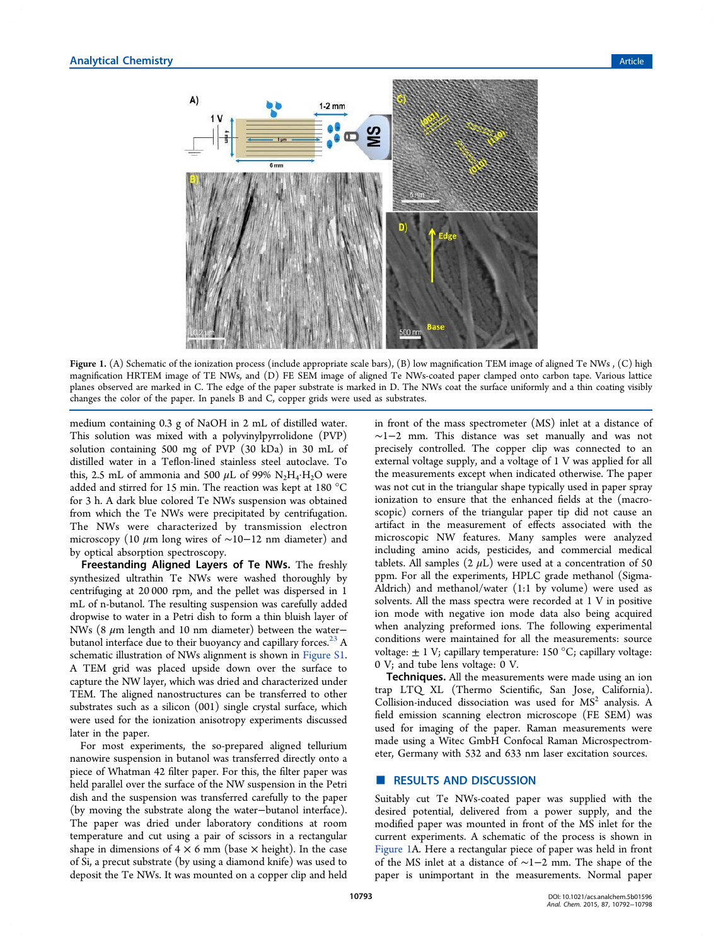

Figure 1. (A) Schematic of the ionization process (include appropriate scale bars), (B) low magnification TEM image of aligned Te NWs, (C) high magnification HRTEM image of TE NWs, and (D) FE SEM image of aligned Te NWs-coated paper clamped onto carbon tape. Various lattice planes observed are marked in C. The edge of the paper substrate is marked in D. The NWs coat the surface uniformly and a thin coating visibly changes the color of the paper. In panels B and C, copper grids were used as substrates.

medium containing 0.3 g of NaOH in 2 mL of distilled water. This solution was mixed with a polyvinylpyrrolidone (PVP) solution containing 500 mg of PVP (30 kDa) in 30 mL of distilled water in a Teflon-lined stainless steel autoclave. To this, 2.5 mL of ammonia and 500  $\mu$ L of 99%  $N_2H_4 \cdot H_2O$  were added and stirred for 15 min. The reaction was kept at 180 °C for 3 h. A dark blue colored Te NWs suspension was obtained from which the Te NWs were precipitated by centrifugation. The NWs were characterized by transmission electron microscopy (10  $\mu$ m long wires of ~10−12 nm diameter) and by optical absorption spectroscopy.

Freestanding Aligned Layers of Te NWs. The freshly synthesized ultrathin Te NWs were washed thoroughly by centrifuging at 20 000 rpm, and the pellet was dispersed in 1 mL of n-butanol. The resulting suspension was carefully added dropwise to water in a Petri dish to form a thin bluish layer of NWs (8  $μ$ m length and 10 nm diameter) between the water− butanol interface due to their buoyancy and capillary forces.<sup>23</sup> A schematic illustration of NWs alignment is shown in Figure S1. A TEM grid was placed upside down over the surface to capture the NW layer, which was dried and characterized under TEM. The aligned nanostructures can be transferred to other substrates such as a silicon (001) single crystal surface, which were used for the ionization anisotropy experiments discussed later in the paper.

For most experiments, the so-prepared aligned tellurium nanowire suspension in butanol was transferred directly onto a piece of Whatman 42 filter paper. For this, the filter paper was held parallel over the surface of the NW suspension in the Petri dish and the suspension was transferred carefully to the paper (by moving the substrate along the water−butanol interface). The paper was dried under laboratory conditions at room temperature and cut using a pair of scissors in a rectangular shape in dimensions of  $4 \times 6$  mm (base  $\times$  height). In the case of Si, a precut substrate (by using a diamond knife) was used to deposit the Te NWs. It was mounted on a copper clip and held in front of the mass spectrometer (MS) inlet at a distance of ∼1−2 mm. This distance was set manually and was not precisely controlled. The copper clip was connected to an external voltage supply, and a voltage of 1 V was applied for all the measurements except when indicated otherwise. The paper was not cut in the triangular shape typically used in paper spray ionization to ensure that the enhanced fields at the (macroscopic) corners of the triangular paper tip did not cause an artifact in the measurement of effects associated with the microscopic NW features. Many samples were analyzed including amino acids, pesticides, and commercial medical tablets. All samples  $(2 \mu L)$  were used at a concentration of 50 ppm. For all the experiments, HPLC grade methanol (Sigma-Aldrich) and methanol/water (1:1 by volume) were used as solvents. All the mass spectra were recorded at 1 V in positive ion mode with negative ion mode data also being acquired when analyzing preformed ions. The following experimental conditions were maintained for all the measurements: source voltage:  $\pm$  1 V; capillary temperature: 150 °C; capillary voltage: 0 V; and tube lens voltage: 0 V.

Techniques. All the measurements were made using an ion trap LTQ XL (Thermo Scientific, San Jose, California). Collision-induced dissociation was used for MS<sup>2</sup> analysis. A field emission scanning electron microscope (FE SEM) was used for imaging of the paper. Raman measurements were made using a Witec GmbH Confocal Raman Microspectrometer, Germany with 532 and 633 nm laser excitation sources.

## **RESULTS AND DISCUSSION**

Suitably cut Te NWs-coated paper was supplied with the desired potential, delivered from a power supply, and the modified paper was mounted in front of the MS inlet for the current experiments. A schematic of the process is shown in Figure 1A. Here a rectangular piece of paper was held in front of the MS inlet at a distance of ∼1−2 mm. The shape of the paper is unimportant in the measurements. Normal paper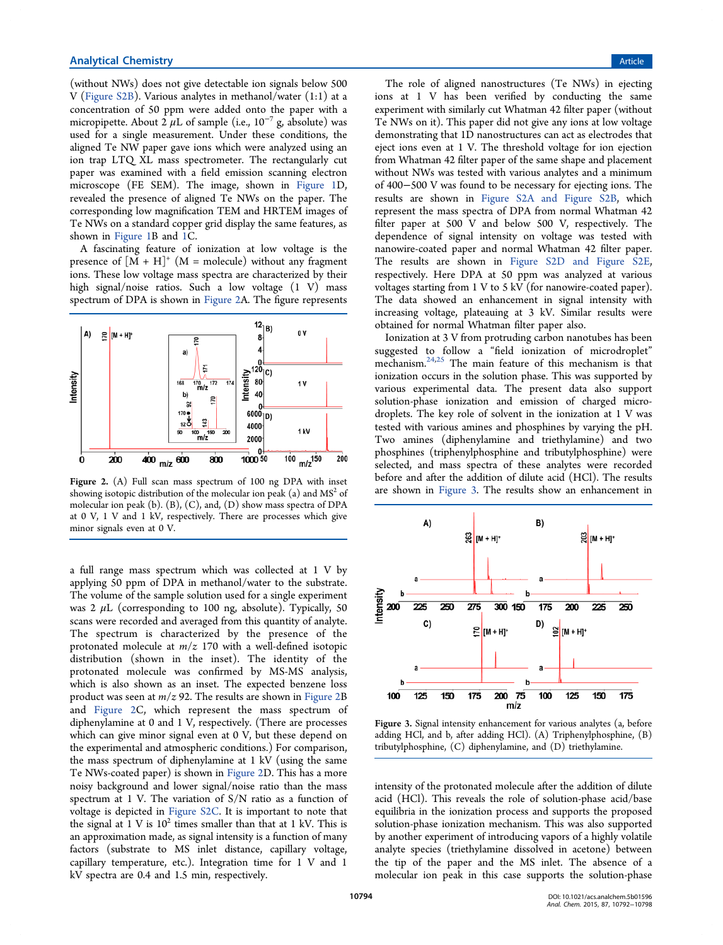(without NWs) does not give detectable ion signals below 500 V (Figure S2B). Various analytes in methanol/water (1:1) at a concentration of 50 ppm were added onto the paper with a micropipette. About  $2 \mu L$  of sample (i.e.,  $10^{-7}$  g, absolute) was used for a single measurement. Under these conditions, the aligned Te NW paper gave ions which were analyzed using an ion trap LTQ XL mass spectrometer. The rectangularly cut paper was examined with a field emission scanning electron microscope (FE SEM). The image, shown in Figure 1D, revealed the presence of aligned Te NWs on the paper. The corresponding low magnification TEM and HRTEM images of Te NWs on a standard copper grid display the same features, as shown in Figure 1B and 1C.

A fascinating feature of ionization at low voltage is the presence of  $[M + H]^+$   $(M = \text{molecule})$  without any fragment ions. These low voltage mass spectra are characterized by their high signal/noise ratios. Such a low voltage (1 V) mass spectrum of DPA is shown in Figure 2A. The figure represents



Figure 2. (A) Full scan mass spectrum of 100 ng DPA with inset showing isotopic distribution of the molecular ion peak (a) and  $\mathrm{MS}^2$  of molecular ion peak (b). (B), (C), and, (D) show mass spectra of DPA at 0 V, 1 V and 1 kV, respectively. There are processes which give minor signals even at 0 V.

a full range mass spectrum which was collected at 1 V by applying 50 ppm of DPA in methanol/water to the substrate. The volume of the sample solution used for a single experiment was 2  $\mu$ L (corresponding to 100 ng, absolute). Typically, 50 scans were recorded and averaged from this quantity of analyte. The spectrum is characterized by the presence of the protonated molecule at *m*/*z* 170 with a well-defined isotopic distribution (shown in the inset). The identity of the protonated molecule was confirmed by MS-MS analysis, which is also shown as an inset. The expected benzene loss product was seen at *m*/*z* 92. The results are shown in Figure 2B and Figure 2C, which represent the mass spectrum of diphenylamine at 0 and 1 V, respectively. (There are processes which can give minor signal even at 0 V, but these depend on the experimental and atmospheric conditions.) For comparison, the mass spectrum of diphenylamine at 1 kV (using the same Te NWs-coated paper) is shown in Figure 2D. This has a more noisy background and lower signal/noise ratio than the mass spectrum at 1 V. The variation of S/N ratio as a function of voltage is depicted in Figure S2C. It is important to note that the signal at  $1 \text{ V}$  is  $10^2$  times smaller than that at  $1 \text{ kV}$ . This is an approximation made, as signal intensity is a function of many factors (substrate to MS inlet distance, capillary voltage, capillary temperature, etc.). Integration time for 1 V and 1 kV spectra are 0.4 and 1.5 min, respectively.

The role of aligned nanostructures (Te NWs) in ejecting ions at 1 V has been verified by conducting the same experiment with similarly cut Whatman 42 filter paper (without Te NWs on it). This paper did not give any ions at low voltage demonstrating that 1D nanostructures can act as electrodes that eject ions even at 1 V. The threshold voltage for ion ejection from Whatman 42 filter paper of the same shape and placement without NWs was tested with various analytes and a minimum of 400−500 V was found to be necessary for ejecting ions. The results are shown in Figure S2A and Figure S2B, which represent the mass spectra of DPA from normal Whatman 42 filter paper at 500 V and below 500 V, respectively. The dependence of signal intensity on voltage was tested with nanowire-coated paper and normal Whatman 42 filter paper. The results are shown in Figure S2D and Figure S2E, respectively. Here DPA at 50 ppm was analyzed at various voltages starting from 1 V to 5 kV (for nanowire-coated paper). The data showed an enhancement in signal intensity with increasing voltage, plateauing at 3 kV. Similar results were obtained for normal Whatman filter paper also.

Ionization at 3 V from protruding carbon nanotubes has been suggested to follow a "field ionization of microdroplet" mechanism.<sup>24,25</sup> The main feature of this mechanism is that ionization occurs in the solution phase. This was supported by various experimental data. The present data also support solution-phase ionization and emission of charged microdroplets. The key role of solvent in the ionization at 1 V was tested with various amines and phosphines by varying the pH. Two amines (diphenylamine and triethylamine) and two phosphines (triphenylphosphine and tributylphosphine) were selected, and mass spectra of these analytes were recorded before and after the addition of dilute acid (HCl). The results are shown in Figure 3. The results show an enhancement in



Figure 3. Signal intensity enhancement for various analytes (a, before adding HCl, and b, after adding HCl). (A) Triphenylphosphine, (B) tributylphosphine, (C) diphenylamine, and (D) triethylamine.

intensity of the protonated molecule after the addition of dilute acid (HCl). This reveals the role of solution-phase acid/base equilibria in the ionization process and supports the proposed solution-phase ionization mechanism. This was also supported by another experiment of introducing vapors of a highly volatile analyte species (triethylamine dissolved in acetone) between the tip of the paper and the MS inlet. The absence of a molecular ion peak in this case supports the solution-phase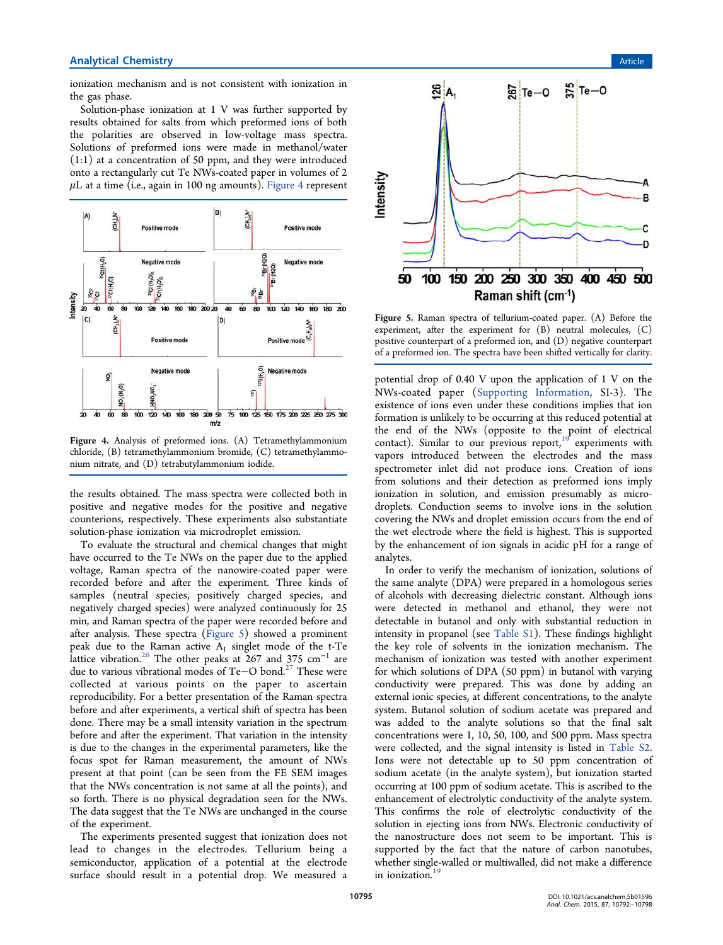ionization mechanism and is not consistent with ionization in the gas phase.

Solution-phase ionization at 1 V was further supported by results obtained for salts from which preformed ions of both the polarities are observed in low-voltage mass spectra. Solutions of preformed ions were made in methanol/water (1:1) at a concentration of 50 ppm, and they were introduced onto a rectangularly cut Te NWs-coated paper in volumes of 2  $\mu$ L at a time (i.e., again in 100 ng amounts). Figure 4 represent



Figure 4. Analysis of preformed ions. (A) Tetramethylammonium chloride, (B) tetramethylammonium bromide, (C) tetramethylammonium nitrate, and (D) tetrabutylammonium iodide.

the results obtained. The mass spectra were collected both in positive and negative modes for the positive and negative counterions, respectively. These experiments also substantiate solution-phase ionization via microdroplet emission.

To evaluate the structural and chemical changes that might have occurred to the Te NWs on the paper due to the applied voltage, Raman spectra of the nanowire-coated paper were recorded before and after the experiment. Three kinds of samples (neutral species, positively charged species, and negatively charged species) were analyzed continuously for 25 min, and Raman spectra of the paper were recorded before and after analysis. These spectra (Figure 5) showed a prominent peak due to the Raman active  $A_1$  singlet mode of the t-Te 1<br>lattice vibration.<sup>26</sup> The other peaks at 267 and 375 cm<sup>-1</sup> are due to various vibrational modes of Te−O bond.<sup>27</sup> These were collected at various points on the paper to ascertain reproducibility. For a better presentation of the Raman spectra before and after experiments, a vertical shift of spectra has been done. There may be a small intensity variation in the spectrum before and after the experiment. That variation in the intensity is due to the changes in the experimental parameters, like the focus spot for Raman measurement, the amount of NWs present at that point (can be seen from the FE SEM images that the NWs concentration is not same at all the points), and so forth. There is no physical degradation seen for the NWs. The data suggest that the Te NWs are unchanged in the course of the experiment.

The experiments presented suggest that ionization does not lead to changes in the electrodes. Tellurium being a semiconductor, application of a potential at the electrode surface should result in a potential drop. We measured a



Figure 5. Raman spectra of tellurium-coated paper. (A) Before the experiment, after the experiment for (B) neutral molecules, (C) positive counterpart of a preformed ion, and (D) negative counterpart of a preformed ion. The spectra have been shifted vertically for clarity.

potential drop of 0.40 V upon the application of 1 V on the NWs-coated paper (Supporting Information, SI-3). The existence of ions even under these conditions implies that ion formation is unlikely to be occurring at this reduced potential at the end of the NWs (opposite to the point of electrical contact). Similar to our previous report, $19^{\circ}$  experiments with vapors introduced between the electrodes and the mass spectrometer inlet did not produce ions. Creation of ions from solutions and their detection as preformed ions imply ionization in solution, and emission presumably as microdroplets. Conduction seems to involve ions in the solution covering the NWs and droplet emission occurs from the end of the wet electrode where the field is highest. This is supported by the enhancement of ion signals in acidic pH for a range of analytes.

In order to verify the mechanism of ionization, solutions of the same analyte (DPA) were prepared in a homologous series of alcohols with decreasing dielectric constant. Although ions were detected in methanol and ethanol, they were not detectable in butanol and only with substantial reduction in intensity in propanol (see Table S1). These findings highlight the key role of solvents in the ionization mechanism. The mechanism of ionization was tested with another experiment for which solutions of DPA (50 ppm) in butanol with varying conductivity were prepared. This was done by adding an external ionic species, at different concentrations, to the analyte system. Butanol solution of sodium acetate was prepared and was added to the analyte solutions so that the final salt concentrations were 1, 10, 50, 100, and 500 ppm. Mass spectra were collected, and the signal intensity is listed in Table S2. Ions were not detectable up to 50 ppm concentration of sodium acetate (in the analyte system), but ionization started occurring at 100 ppm of sodium acetate. This is ascribed to the enhancement of electrolytic conductivity of the analyte system. This confirms the role of electrolytic conductivity of the solution in ejecting ions from NWs. Electronic conductivity of the nanostructure does not seem to be important. This is supported by the fact that the nature of carbon nanotubes, whether single-walled or multiwalled, did not make a difference in ionization.<sup>19</sup>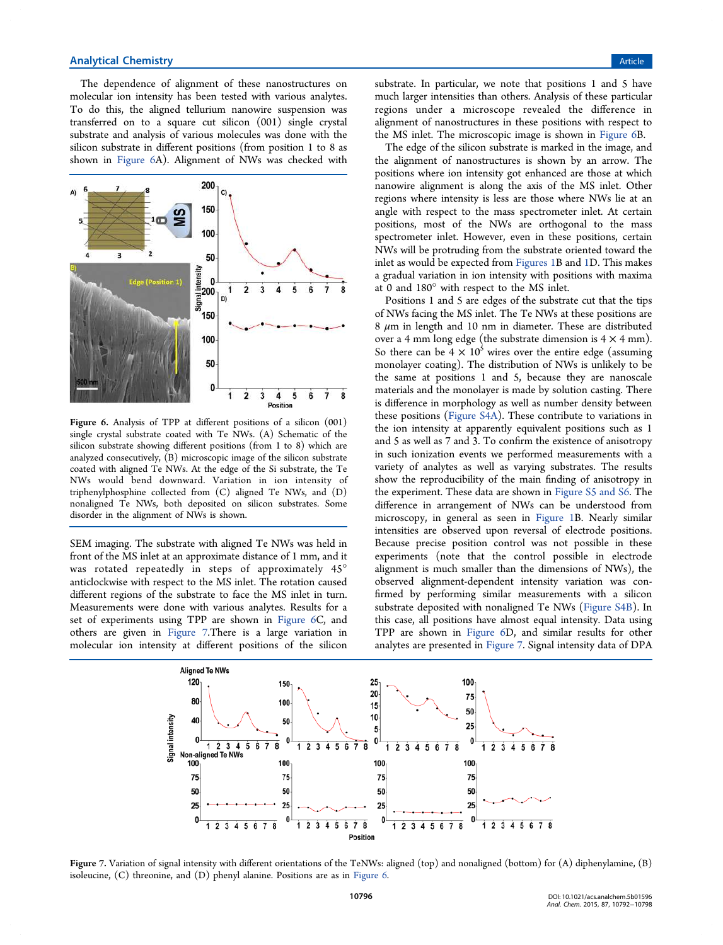The dependence of alignment of these nanostructures on molecular ion intensity has been tested with various analytes. To do this, the aligned tellurium nanowire suspension was transferred on to a square cut silicon (001) single crystal substrate and analysis of various molecules was done with the silicon substrate in different positions (from position 1 to 8 as shown in Figure 6A). Alignment of NWs was checked with



Figure 6. Analysis of TPP at different positions of a silicon (001) single crystal substrate coated with Te NWs. (A) Schematic of the silicon substrate showing different positions (from 1 to 8) which are analyzed consecutively,  $\bar{B}$ ) microscopic image of the silicon substrate coated with aligned Te NWs. At the edge of the Si substrate, the Te NWs would bend downward. Variation in ion intensity of triphenylphosphine collected from (C) aligned Te NWs, and (D) nonaligned Te NWs, both deposited on silicon substrates. Some disorder in the alignment of NWs is shown.

SEM imaging. The substrate with aligned Te NWs was held in front of the MS inlet at an approximate distance of 1 mm, and it was rotated repeatedly in steps of approximately 45° anticlockwise with respect to the MS inlet. The rotation caused different regions of the substrate to face the MS inlet in turn. Measurements were done with various analytes. Results for a set of experiments using TPP are shown in Figure 6C, and others are given in Figure 7.There is a large variation in molecular ion intensity at different positions of the silicon

substrate. In particular, we note that positions 1 and 5 have much larger intensities than others. Analysis of these particular regions under a microscope revealed the difference in alignment of nanostructures in these positions with respect to the MS inlet. The microscopic image is shown in Figure 6B.

The edge of the silicon substrate is marked in the image, and the alignment of nanostructures is shown by an arrow. The positions where ion intensity got enhanced are those at which nanowire alignment is along the axis of the MS inlet. Other regions where intensity is less are those where NWs lie at an angle with respect to the mass spectrometer inlet. At certain positions, most of the NWs are orthogonal to the mass spectrometer inlet. However, even in these positions, certain NWs will be protruding from the substrate oriented toward the inlet as would be expected from Figures 1B and 1D. This makes a gradual variation in ion intensity with positions with maxima at 0 and 180° with respect to the MS inlet.

Positions 1 and 5 are edges of the substrate cut that the tips of NWs facing the MS inlet. The Te NWs at these positions are 8  $\mu$ m in length and 10 nm in diameter. These are distributed over a 4 mm long edge (the substrate dimension is  $4 \times 4$  mm). So there can be  $4 \times 10^5$  wires over the entire edge (assuming monolayer coating). The distribution of NWs is unlikely to be the same at positions 1 and 5, because they are nanoscale materials and the monolayer is made by solution casting. There is difference in morphology as well as number density between these positions (Figure S4A). These contribute to variations in the ion intensity at apparently equivalent positions such as 1 and 5 as well as 7 and 3. To confirm the existence of anisotropy in such ionization events we performed measurements with a variety of analytes as well as varying substrates. The results show the reproducibility of the main finding of anisotropy in the experiment. These data are shown in Figure S5 and S6. The difference in arrangement of NWs can be understood from microscopy, in general as seen in Figure 1B. Nearly similar intensities are observed upon reversal of electrode positions. Because precise position control was not possible in these experiments (note that the control possible in electrode alignment is much smaller than the dimensions of NWs), the observed alignment-dependent intensity variation was confirmed by performing similar measurements with a silicon substrate deposited with nonaligned Te NWs (Figure S4B). In this case, all positions have almost equal intensity. Data using TPP are shown in Figure 6D, and similar results for other analytes are presented in Figure 7. Signal intensity data of DPA



Figure 7. Variation of signal intensity with different orientations of the TeNWs: aligned (top) and nonaligned (bottom) for (A) diphenylamine, (B) isoleucine, (C) threonine, and (D) phenyl alanine. Positions are as in Figure 6.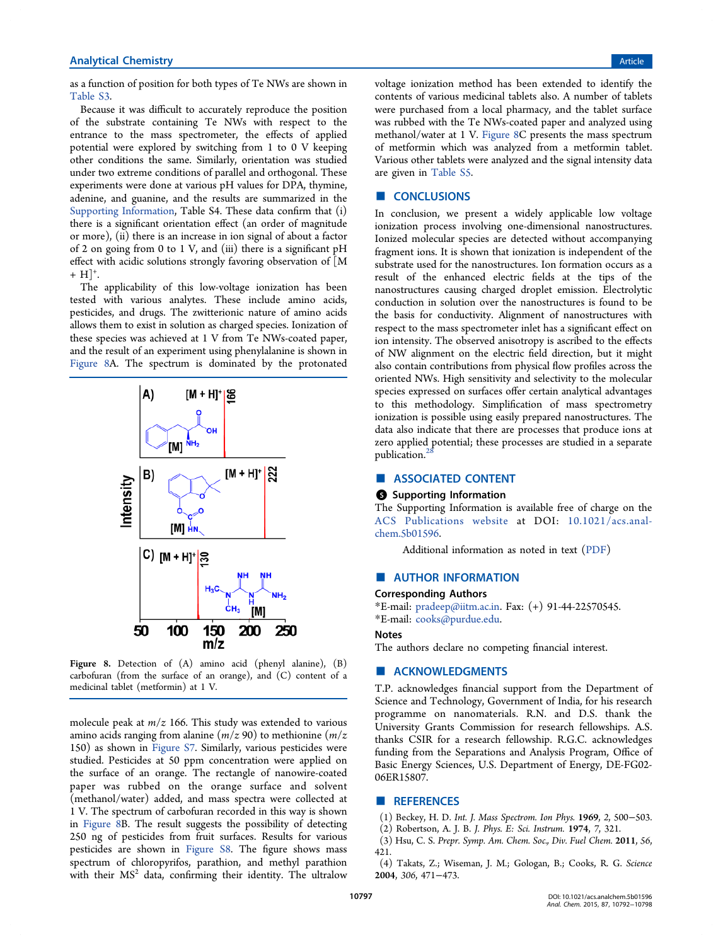## **Analytical Chemistry Article** Article **Analytical Chemistry** Article **Article Article Article Article Article**

as a function of position for both types of Te NWs are shown in Table S3.

Because it was difficult to accurately reproduce the position of the substrate containing Te NWs with respect to the entrance to the mass spectrometer, the effects of applied potential were explored by switching from 1 to 0 V keeping other conditions the same. Similarly, orientation was studied under two extreme conditions of parallel and orthogonal. These experiments were done at various pH values for DPA, thymine, adenine, and guanine, and the results are summarized in the Supporting Information, Table S4. These data confirm that (i) there is a significant orientation effect (an order of magnitude or more), (ii) there is an increase in ion signal of about a factor of 2 on going from 0 to 1 V, and (iii) there is a significant pH effect with acidic solutions strongly favoring observation of [M  $+ H$ ]<sup>+</sup>. .

The applicability of this low-voltage ionization has been tested with various analytes. These include amino acids, pesticides, and drugs. The zwitterionic nature of amino acids allows them to exist in solution as charged species. Ionization of these species was achieved at 1 V from Te NWs-coated paper, and the result of an experiment using phenylalanine is shown in Figure 8A. The spectrum is dominated by the protonated



Figure 8. Detection of (A) amino acid (phenyl alanine), (B) carbofuran (from the surface of an orange), and (C) content of a medicinal tablet (metformin) at 1 V.

molecule peak at *m*/*z* 166. This study was extended to various amino acids ranging from alanine (*m*/*z* 90) to methionine (*m*/*z* 150) as shown in Figure S7. Similarly, various pesticides were studied. Pesticides at 50 ppm concentration were applied on the surface of an orange. The rectangle of nanowire-coated paper was rubbed on the orange surface and solvent (methanol/water) added, and mass spectra were collected at 1 V. The spectrum of carbofuran recorded in this way is shown in Figure 8B. The result suggests the possibility of detecting 250 ng of pesticides from fruit surfaces. Results for various pesticides are shown in Figure S8. The figure shows mass spectrum of chloropyrifos, parathion, and methyl parathion with their MS<sup>2</sup> data, confirming their identity. The ultralow

voltage ionization method has been extended to identify the contents of various medicinal tablets also. A number of tablets were purchased from a local pharmacy, and the tablet surface was rubbed with the Te NWs-coated paper and analyzed using methanol/water at 1 V. Figure 8C presents the mass spectrum of metformin which was analyzed from a metformin tablet. Various other tablets were analyzed and the signal intensity data are given in Table S5.

#### ■ **CONCLUSIONS**

In conclusion, we present a widely applicable low voltage ionization process involving one-dimensional nanostructures. Ionized molecular species are detected without accompanying fragment ions. It is shown that ionization is independent of the substrate used for the nanostructures. Ion formation occurs as a result of the enhanced electric fields at the tips of the nanostructures causing charged droplet emission. Electrolytic conduction in solution over the nanostructures is found to be the basis for conductivity. Alignment of nanostructures with respect to the mass spectrometer inlet has a significant effect on ion intensity. The observed anisotropy is ascribed to the effects of NW alignment on the electric field direction, but it might also contain contributions from physical flow profiles across the oriented NWs. High sensitivity and selectivity to the molecular species expressed on surfaces offer certain analytical advantages to this methodology. Simplification of mass spectrometry ionization is possible using easily prepared nanostructures. The data also indicate that there are processes that produce ions at zero applied potential; these processes are studied in a separate publication.<sup>2</sup>

# ■ ASSOCIATED CONTENT

#### **6** Supporting Information

The Supporting Information is available free of charge on the ACS Publications website at DOI: 10.1021/acs.analchem.5b01596.

Additional information as noted in text (PDF)

## ■ AUTHOR INFORMATION

# Corresponding Authors

\*E-mail: pradeep@iitm.ac.in. Fax: (+) 91-44-22570545. \*E-mail: cooks@purdue.edu.

#### Notes

The authors declare no competing financial interest.

## ■ ACKNOWLEDGMENTS

T.P. acknowledges financial support from the Department of Science and Technology, Government of India, for his research programme on nanomaterials. R.N. and D.S. thank the University Grants Commission for research fellowships. A.S. thanks CSIR for a research fellowship. R.G.C. acknowledges funding from the Separations and Analysis Program, Office of Basic Energy Sciences, U.S. Department of Energy, DE-FG02- 06ER15807.

## ■ REFERENCES

(1) Beckey, H. D. *Int. J. Mass Spectrom. Ion Phys.* 1969, *2*, 500−503.

(2) Robertson, A. J. B. *J. Phys. E: Sci. Instrum.* 1974, *7*, 321.

(3) Hsu, C. S. *Prepr. Symp. Am. Chem. Soc., Div. Fuel Chem.* 2011, *56*, 421.

(4) Takats, Z.; Wiseman, J. M.; Gologan, B.; Cooks, R. G. *Science* 2004, *306*, 471−473.